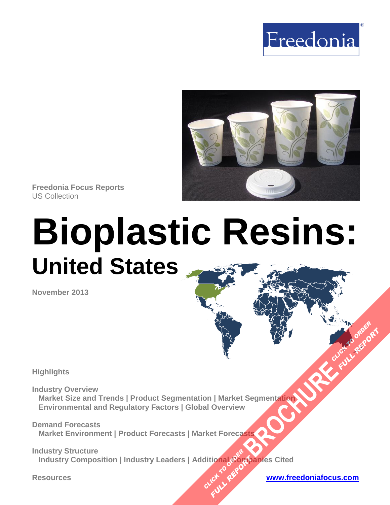



**Freedonia Focus Reports** US Collection

# **Bioplastic Resins: United States**

**November 2013**

**Highlights** 

**Industry Overview Market Size and Trends | Product Segmentation | Market Segmentation Environmental and Regulatory Factors | Global Overview [BROCHURE](http://www.freedoniagroup.com/FocusDetails.aspx?ReferrerId=FM-FocusBro&ReportID=FF55040) AND CLICK TO ORDER**<br>Begmentation

**Demand Forecasts Market Environment | Product Forecasts | Market Forecasts** 

**Industry Structure**  \_\_Industry Composition | Industry Leaders | Additional Companies Cited **CLICK TO REPORT FULL REPORT:** 

**FULL REPORT**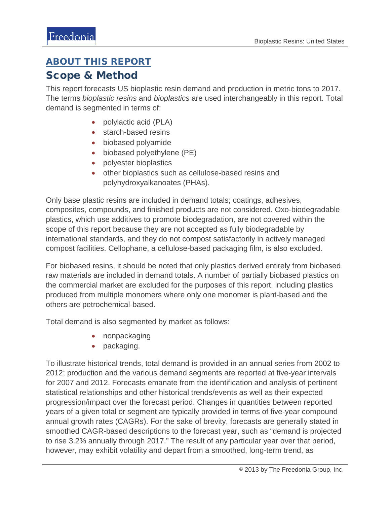#### ABOUT THIS REPORT

#### Scope & Method

This report forecasts US bioplastic resin demand and production in metric tons to 2017. The terms *bioplastic resins* and *bioplastics* are used interchangeably in this report. Total demand is segmented in terms of:

- polylactic acid (PLA)
- starch-based resins
- biobased polyamide
- biobased polyethylene (PE)
- polyester bioplastics
- other bioplastics such as cellulose-based resins and polyhydroxyalkanoates (PHAs).

Only base plastic resins are included in demand totals; coatings, adhesives, composites, compounds, and finished products are not considered. Oxo-biodegradable plastics, which use additives to promote biodegradation, are not covered within the scope of this report because they are not accepted as fully biodegradable by international standards, and they do not compost satisfactorily in actively managed compost facilities. Cellophane, a cellulose-based packaging film, is also excluded.

For biobased resins, it should be noted that only plastics derived entirely from biobased raw materials are included in demand totals. A number of partially biobased plastics on the commercial market are excluded for the purposes of this report, including plastics produced from multiple monomers where only one monomer is plant-based and the others are petrochemical-based.

Total demand is also segmented by market as follows:

- nonpackaging
- packaging.

To illustrate historical trends, total demand is provided in an annual series from 2002 to 2012; production and the various demand segments are reported at five-year intervals for 2007 and 2012. Forecasts emanate from the identification and analysis of pertinent statistical relationships and other historical trends/events as well as their expected progression/impact over the forecast period. Changes in quantities between reported years of a given total or segment are typically provided in terms of five-year compound annual growth rates (CAGRs). For the sake of brevity, forecasts are generally stated in smoothed CAGR-based descriptions to the forecast year, such as "demand is projected to rise 3.2% annually through 2017." The result of any particular year over that period, however, may exhibit volatility and depart from a smoothed, long-term trend, as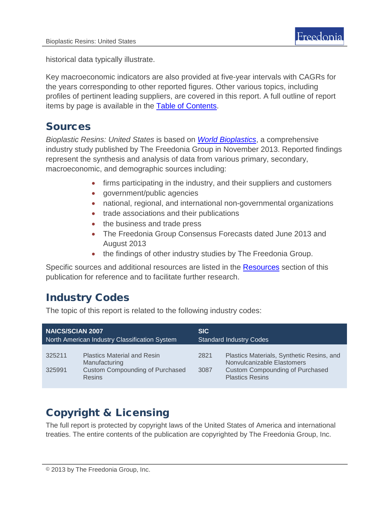historical data typically illustrate.

Key macroeconomic indicators are also provided at five-year intervals with CAGRs for the years corresponding to other reported figures. Other various topics, including profiles of pertinent leading suppliers, are covered in this report. A full outline of report items by page is available in the [Table of Contents.](#page-3-0)

### Sources

*Bioplastic Resins: United States* is based on *[World Bioplastics](http://www.freedoniagroup.com/DocumentDetails.aspx?ReferrerId=FL-FOCUS&studyid=3089)*, a comprehensive industry study published by The Freedonia Group in November 2013. Reported findings represent the synthesis and analysis of data from various primary, secondary, macroeconomic, and demographic sources including:

- firms participating in the industry, and their suppliers and customers
- government/public agencies
- national, regional, and international non-governmental organizations
- trade associations and their publications
- the business and trade press
- The Freedonia Group Consensus Forecasts dated June 2013 and August 2013
- the findings of other industry studies by The Freedonia Group.

Specific sources and additional resources are listed in the Resources section of this publication for reference and to facilitate further research.

# Industry Codes

The topic of this report is related to the following industry codes:

| <b>NAICS/SCIAN 2007</b>                       |                                                                                                                | <b>SIC</b>                     |                                                                                                                                             |
|-----------------------------------------------|----------------------------------------------------------------------------------------------------------------|--------------------------------|---------------------------------------------------------------------------------------------------------------------------------------------|
| North American Industry Classification System |                                                                                                                | <b>Standard Industry Codes</b> |                                                                                                                                             |
| 325211<br>325991                              | <b>Plastics Material and Resin</b><br>Manufacturing<br><b>Custom Compounding of Purchased</b><br><b>Resins</b> | 2821<br>3087                   | Plastics Materials, Synthetic Resins, and<br>Nonvulcanizable Elastomers<br><b>Custom Compounding of Purchased</b><br><b>Plastics Resins</b> |

# Copyright & Licensing

The full report is protected by copyright laws of the United States of America and international treaties. The entire contents of the publication are copyrighted by The Freedonia Group, Inc.